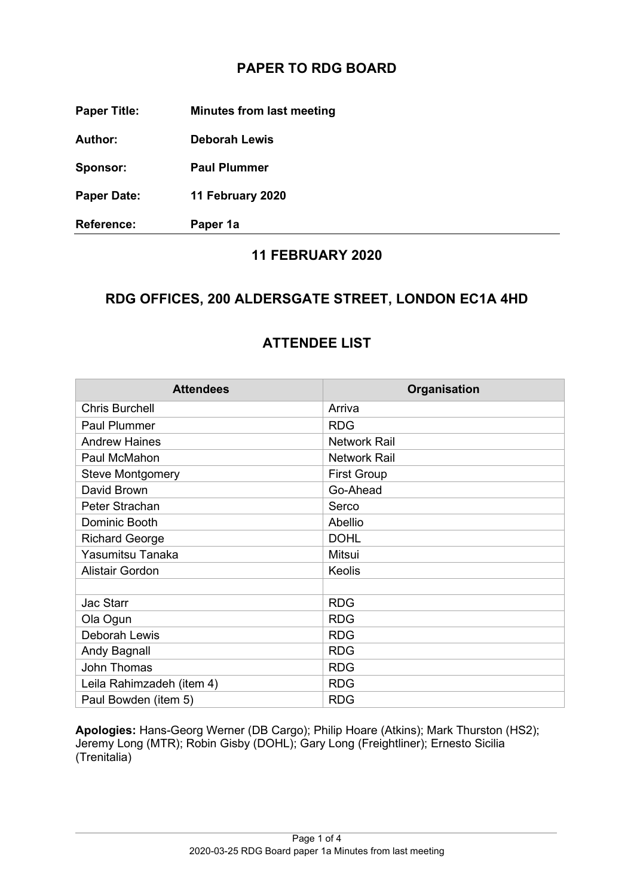## **PAPER TO RDG BOARD**

**Paper Title: Minutes from last meeting** 

**Author: Deborah Lewis** 

**Sponsor: Paul Plummer**

**Paper Date: 11 February 2020**

**Reference: Paper 1a**

#### **11 FEBRUARY 2020**

### **RDG OFFICES, 200 ALDERSGATE STREET, LONDON EC1A 4HD**

#### **ATTENDEE LIST**

| <b>Attendees</b>          | Organisation        |
|---------------------------|---------------------|
| <b>Chris Burchell</b>     | Arriva              |
| <b>Paul Plummer</b>       | <b>RDG</b>          |
| <b>Andrew Haines</b>      | <b>Network Rail</b> |
| Paul McMahon              | <b>Network Rail</b> |
| <b>Steve Montgomery</b>   | <b>First Group</b>  |
| David Brown               | Go-Ahead            |
| Peter Strachan            | Serco               |
| Dominic Booth             | Abellio             |
| <b>Richard George</b>     | <b>DOHL</b>         |
| Yasumitsu Tanaka          | Mitsui              |
| <b>Alistair Gordon</b>    | <b>Keolis</b>       |
|                           |                     |
| <b>Jac Starr</b>          | <b>RDG</b>          |
| Ola Ogun                  | <b>RDG</b>          |
| Deborah Lewis             | <b>RDG</b>          |
| Andy Bagnall              | <b>RDG</b>          |
| John Thomas               | <b>RDG</b>          |
| Leila Rahimzadeh (item 4) | <b>RDG</b>          |
| Paul Bowden (item 5)      | <b>RDG</b>          |

**Apologies:** Hans-Georg Werner (DB Cargo); Philip Hoare (Atkins); Mark Thurston (HS2); Jeremy Long (MTR); Robin Gisby (DOHL); Gary Long (Freightliner); Ernesto Sicilia (Trenitalia)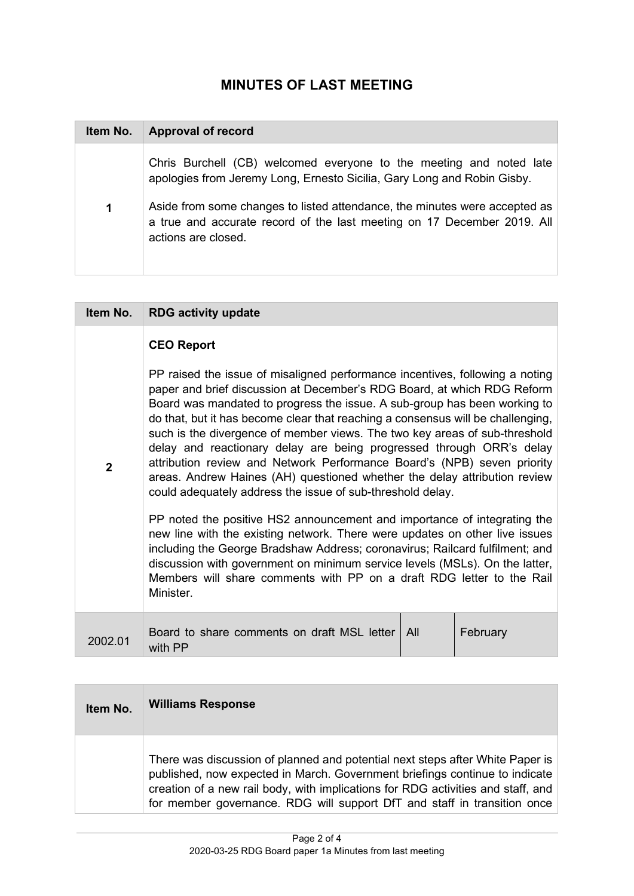# **MINUTES OF LAST MEETING**

| Item No. | <b>Approval of record</b>                                                                                                                                                    |
|----------|------------------------------------------------------------------------------------------------------------------------------------------------------------------------------|
|          | Chris Burchell (CB) welcomed everyone to the meeting and noted late<br>apologies from Jeremy Long, Ernesto Sicilia, Gary Long and Robin Gisby.                               |
| 1        | Aside from some changes to listed attendance, the minutes were accepted as<br>a true and accurate record of the last meeting on 17 December 2019. All<br>actions are closed. |

| Item No.     | <b>RDG activity update</b>                                                                                                                                                                                                                                                                                                                                                                                                                                                                                                                                                                                                                                                                          |  |  |
|--------------|-----------------------------------------------------------------------------------------------------------------------------------------------------------------------------------------------------------------------------------------------------------------------------------------------------------------------------------------------------------------------------------------------------------------------------------------------------------------------------------------------------------------------------------------------------------------------------------------------------------------------------------------------------------------------------------------------------|--|--|
|              | <b>CEO Report</b>                                                                                                                                                                                                                                                                                                                                                                                                                                                                                                                                                                                                                                                                                   |  |  |
| $\mathbf{2}$ | PP raised the issue of misaligned performance incentives, following a noting<br>paper and brief discussion at December's RDG Board, at which RDG Reform<br>Board was mandated to progress the issue. A sub-group has been working to<br>do that, but it has become clear that reaching a consensus will be challenging,<br>such is the divergence of member views. The two key areas of sub-threshold<br>delay and reactionary delay are being progressed through ORR's delay<br>attribution review and Network Performance Board's (NPB) seven priority<br>areas. Andrew Haines (AH) questioned whether the delay attribution review<br>could adequately address the issue of sub-threshold delay. |  |  |
|              | PP noted the positive HS2 announcement and importance of integrating the<br>new line with the existing network. There were updates on other live issues<br>including the George Bradshaw Address; coronavirus; Railcard fulfilment; and<br>discussion with government on minimum service levels (MSLs). On the latter,<br>Members will share comments with PP on a draft RDG letter to the Rail<br>Minister.                                                                                                                                                                                                                                                                                        |  |  |
| 2002.01      | Board to share comments on draft MSL letter<br>All<br>February<br>with PP                                                                                                                                                                                                                                                                                                                                                                                                                                                                                                                                                                                                                           |  |  |

| Item No. | <b>Williams Response</b>                                                                                                                                                                                                                                                                                                     |
|----------|------------------------------------------------------------------------------------------------------------------------------------------------------------------------------------------------------------------------------------------------------------------------------------------------------------------------------|
|          | There was discussion of planned and potential next steps after White Paper is<br>published, now expected in March. Government briefings continue to indicate<br>creation of a new rail body, with implications for RDG activities and staff, and<br>for member governance. RDG will support DfT and staff in transition once |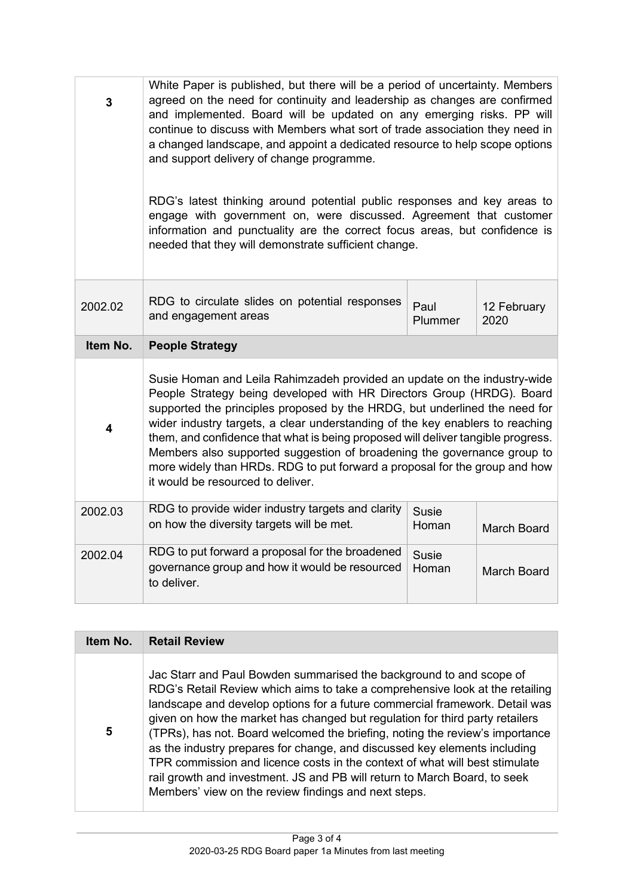| 3        | White Paper is published, but there will be a period of uncertainty. Members<br>agreed on the need for continuity and leadership as changes are confirmed<br>and implemented. Board will be updated on any emerging risks. PP will<br>continue to discuss with Members what sort of trade association they need in<br>a changed landscape, and appoint a dedicated resource to help scope options<br>and support delivery of change programme.<br>RDG's latest thinking around potential public responses and key areas to<br>engage with government on, were discussed. Agreement that customer<br>information and punctuality are the correct focus areas, but confidence is<br>needed that they will demonstrate sufficient change. |                       |                     |
|----------|----------------------------------------------------------------------------------------------------------------------------------------------------------------------------------------------------------------------------------------------------------------------------------------------------------------------------------------------------------------------------------------------------------------------------------------------------------------------------------------------------------------------------------------------------------------------------------------------------------------------------------------------------------------------------------------------------------------------------------------|-----------------------|---------------------|
| 2002.02  | RDG to circulate slides on potential responses<br>and engagement areas                                                                                                                                                                                                                                                                                                                                                                                                                                                                                                                                                                                                                                                                 | Paul<br>Plummer       | 12 February<br>2020 |
| Item No. | <b>People Strategy</b>                                                                                                                                                                                                                                                                                                                                                                                                                                                                                                                                                                                                                                                                                                                 |                       |                     |
| 4        | Susie Homan and Leila Rahimzadeh provided an update on the industry-wide<br>People Strategy being developed with HR Directors Group (HRDG). Board<br>supported the principles proposed by the HRDG, but underlined the need for<br>wider industry targets, a clear understanding of the key enablers to reaching<br>them, and confidence that what is being proposed will deliver tangible progress.<br>Members also supported suggestion of broadening the governance group to<br>more widely than HRDs. RDG to put forward a proposal for the group and how<br>it would be resourced to deliver.                                                                                                                                     |                       |                     |
| 2002.03  | RDG to provide wider industry targets and clarity<br>on how the diversity targets will be met.                                                                                                                                                                                                                                                                                                                                                                                                                                                                                                                                                                                                                                         | <b>Susie</b><br>Homan | <b>March Board</b>  |
| 2002.04  | RDG to put forward a proposal for the broadened<br>governance group and how it would be resourced<br>to deliver.                                                                                                                                                                                                                                                                                                                                                                                                                                                                                                                                                                                                                       | <b>Susie</b><br>Homan | <b>March Board</b>  |

| Item No. | <b>Retail Review</b>                                                                                                                                                                                                                                                                                                                                                                                                                                                                                                                                                                                                                                                                                |
|----------|-----------------------------------------------------------------------------------------------------------------------------------------------------------------------------------------------------------------------------------------------------------------------------------------------------------------------------------------------------------------------------------------------------------------------------------------------------------------------------------------------------------------------------------------------------------------------------------------------------------------------------------------------------------------------------------------------------|
| 5        | Jac Starr and Paul Bowden summarised the background to and scope of<br>RDG's Retail Review which aims to take a comprehensive look at the retailing<br>landscape and develop options for a future commercial framework. Detail was<br>given on how the market has changed but regulation for third party retailers<br>(TPRs), has not. Board welcomed the briefing, noting the review's importance<br>as the industry prepares for change, and discussed key elements including<br>TPR commission and licence costs in the context of what will best stimulate<br>rail growth and investment. JS and PB will return to March Board, to seek<br>Members' view on the review findings and next steps. |